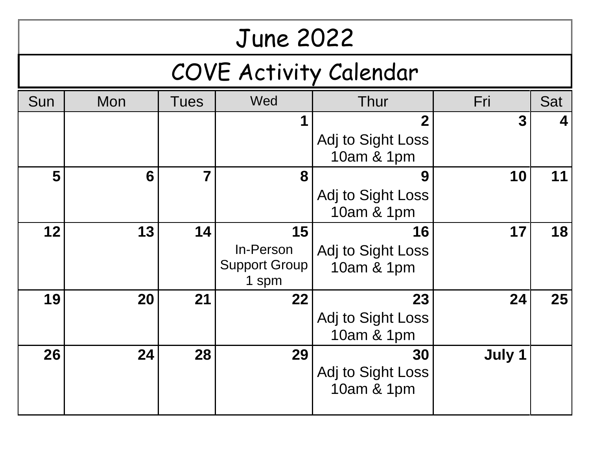| <b>June 2022</b>       |     |             |                                                               |                                                |             |     |
|------------------------|-----|-------------|---------------------------------------------------------------|------------------------------------------------|-------------|-----|
| COVE Activity Calendar |     |             |                                                               |                                                |             |     |
| Sun                    | Mon | <b>Tues</b> | Wed                                                           | Thur                                           | Fri         | Sat |
|                        |     |             | 1                                                             | $\mathbf 2$<br>Adj to Sight Loss<br>10am & 1pm | $\mathbf 3$ | 4   |
| 5                      | 6   | 7           | 8                                                             | 9<br>Adj to Sight Loss<br>10am & 1pm           | 10          | 11  |
| 12                     | 13  | 14          | 15 <sub>1</sub><br>In-Person<br><b>Support Group</b><br>1 spm | 16<br>Adj to Sight Loss<br>10am & 1pm          | 17          | 18  |
| 19                     | 20  | 21          | 22                                                            | 23<br>Adj to Sight Loss<br>10am & 1pm          | 24          | 25  |
| 26                     | 24  | 28          | 29                                                            | 30<br>Adj to Sight Loss<br>10am & 1pm          | July 1      |     |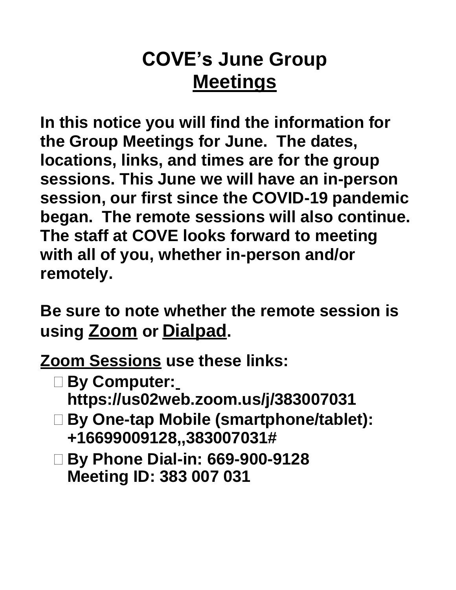# **COVE's June Group Meetings**

**In this notice you will find the information for the Group Meetings for June. The dates, locations, links, and times are for the group sessions. This June we will have an in-person session, our first since the COVID-19 pandemic began. The remote sessions will also continue. The staff at COVE looks forward to meeting with all of you, whether in-person and/or remotely.**

**Be sure to note whether the remote session is using Zoom or Dialpad.**

**Zoom Sessions use these links:**

- **By Computer: https://us02web.zoom.us/j/383007031**
- **By One-tap Mobile (smartphone/tablet): +16699009128,,383007031#**
- **By Phone Dial-in: 669-900-9128 Meeting ID: 383 007 031**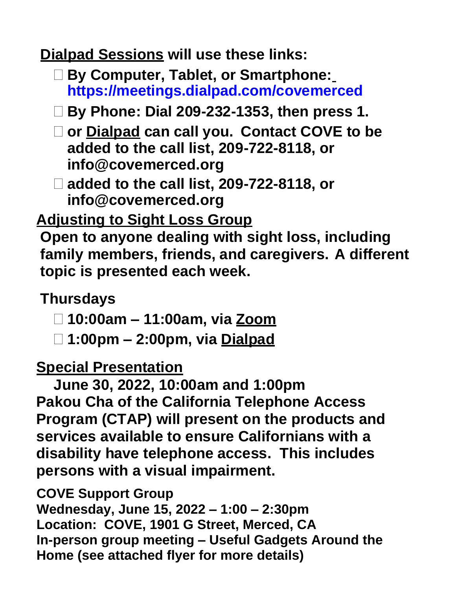**Dialpad Sessions will use these links:**

- **By Computer, Tablet, or Smartphone: https://meetings.dialpad.com/covemerced**
- **By Phone: Dial 209-232-1353, then press 1.**
- **or Dialpad can call you. Contact COVE to be added to the call list, 209-722-8118, or info@covemerced.org**
- **added to the call list, 209-722-8118, or info@covemerced.org**

## **Adjusting to Sight Loss Group**

**Open to anyone dealing with sight loss, including family members, friends, and caregivers. A different topic is presented each week.**

### **Thursdays**

- **10:00am – 11:00am, via Zoom**
- **1:00pm – 2:00pm, via Dialpad**

### **Special Presentation**

**June 30, 2022, 10:00am and 1:00pm Pakou Cha of the California Telephone Access Program (CTAP) will present on the products and services available to ensure Californians with a disability have telephone access. This includes persons with a visual impairment.** 

**COVE Support Group**

**Wednesday, June 15, 2022 – 1:00 – 2:30pm Location: COVE, 1901 G Street, Merced, CA In-person group meeting – Useful Gadgets Around the Home (see attached flyer for more details)**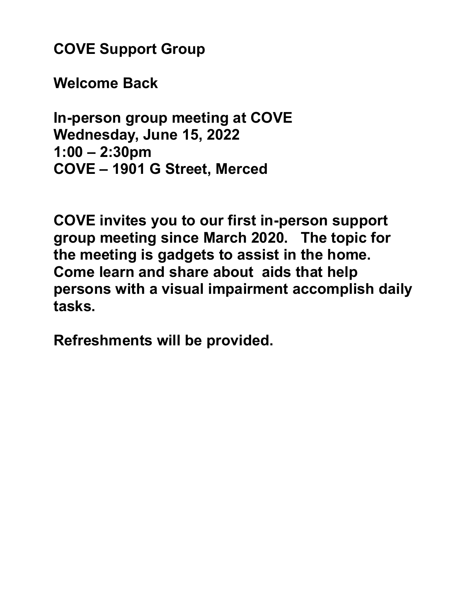**COVE Support Group**

**Welcome Back**

**In-person group meeting at COVE Wednesday, June 15, 2022 1:00 – 2:30pm COVE – 1901 G Street, Merced** 

**COVE invites you to our first in-person support group meeting since March 2020. The topic for the meeting is gadgets to assist in the home. Come learn and share about aids that help persons with a visual impairment accomplish daily tasks.** 

**Refreshments will be provided.**